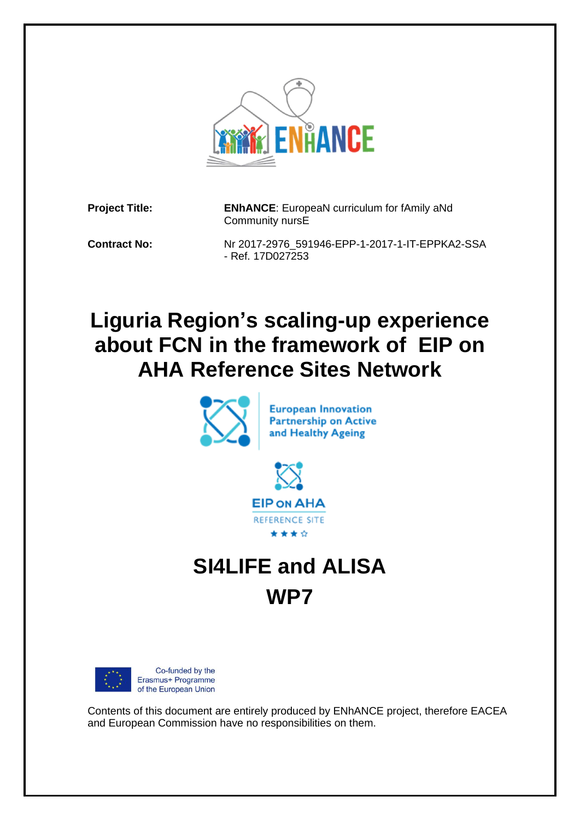

**Project Title: ENhANCE**: EuropeaN curriculum for fAmily aNd Community nursE

**Contract No:** Nr 2017-2976\_591946-EPP-1-2017-1-IT-EPPKA2-SSA - Ref. 17D027253

## **Liguria Region's scaling-up experience about FCN in the framework of EIP on AHA Reference Sites Network**





# **SI4LIFE and ALISA WP7**



Contents of this document are entirely produced by ENhANCE project, therefore EACEA and European Commission have no responsibilities on them.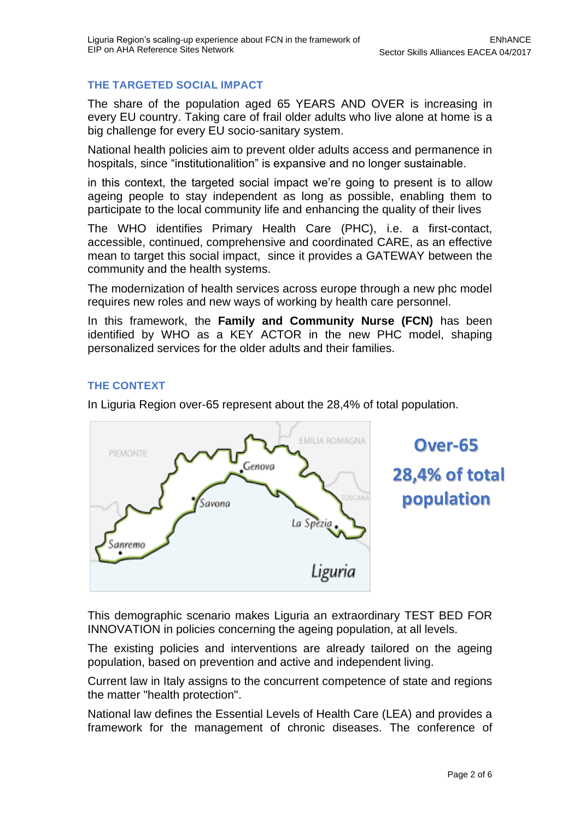#### **THE TARGETED SOCIAL IMPACT**

The share of the population aged 65 YEARS AND OVER is increasing in every EU country. Taking care of frail older adults who live alone at home is a big challenge for every EU socio-sanitary system.

National health policies aim to prevent older adults access and permanence in hospitals, since "institutionalition" is expansive and no longer sustainable.

in this context, the targeted social impact we're going to present is to allow ageing people to stay independent as long as possible, enabling them to participate to the local community life and enhancing the quality of their lives

The WHO identifies Primary Health Care (PHC), i.e. a first-contact, accessible, continued, comprehensive and coordinated CARE, as an effective mean to target this social impact, since it provides a GATEWAY between the community and the health systems.

The modernization of health services across europe through a new phc model requires new roles and new ways of working by health care personnel.

In this framework, the **Family and Community Nurse (FCN)** has been identified by WHO as a KEY ACTOR in the new PHC model, shaping personalized services for the older adults and their families.

#### **THE CONTEXT**

In Liguria Region over-65 represent about the 28,4% of total population.



**Over-65 28,4% of total population**

This demographic scenario makes Liguria an extraordinary TEST BED FOR INNOVATION in policies concerning the ageing population, at all levels.

The existing policies and interventions are already tailored on the ageing population, based on prevention and active and independent living.

Current law in Italy assigns to the concurrent competence of state and regions the matter "health protection".

National law defines the Essential Levels of Health Care (LEA) and provides a framework for the management of chronic diseases. The conference of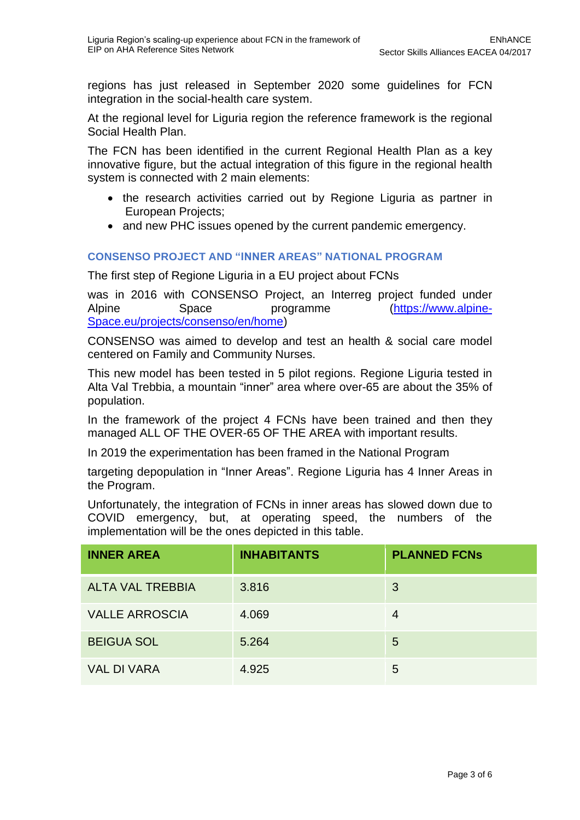regions has just released in September 2020 some guidelines for FCN integration in the social-health care system.

At the regional level for Liguria region the reference framework is the regional Social Health Plan.

The FCN has been identified in the current Regional Health Plan as a key innovative figure, but the actual integration of this figure in the regional health system is connected with 2 main elements:

- the research activities carried out by Regione Liguria as partner in European Projects;
- and new PHC issues opened by the current pandemic emergency.

#### **CONSENSO PROJECT AND "INNER AREAS" NATIONAL PROGRAM**

The first step of Regione Liguria in a EU project about FCNs

was in 2016 with CONSENSO Project, an Interreg project funded under Alpine Space programme [\(https://www.alpine-](https://www.alpine-space.eu/projects/consenso/en/home)[Space.eu/projects/consenso/en/home\)](https://www.alpine-space.eu/projects/consenso/en/home)

CONSENSO was aimed to develop and test an health & social care model centered on Family and Community Nurses.

This new model has been tested in 5 pilot regions. Regione Liguria tested in Alta Val Trebbia, a mountain "inner" area where over-65 are about the 35% of population.

In the framework of the project 4 FCNs have been trained and then they managed ALL OF THE OVER-65 OF THE AREA with important results.

In 2019 the experimentation has been framed in the National Program

targeting depopulation in "Inner Areas". Regione Liguria has 4 Inner Areas in the Program.

Unfortunately, the integration of FCNs in inner areas has slowed down due to COVID emergency, but, at operating speed, the numbers of the implementation will be the ones depicted in this table.

| <b>INNER AREA</b>       | <b>INHABITANTS</b> | <b>PLANNED FCNs</b> |
|-------------------------|--------------------|---------------------|
| <b>ALTA VAL TREBBIA</b> | 3.816              | 3                   |
| <b>VALLE ARROSCIA</b>   | 4.069              | 4                   |
| <b>BEIGUA SOL</b>       | 5.264              | 5                   |
| <b>VAL DI VARA</b>      | 4.925              | 5                   |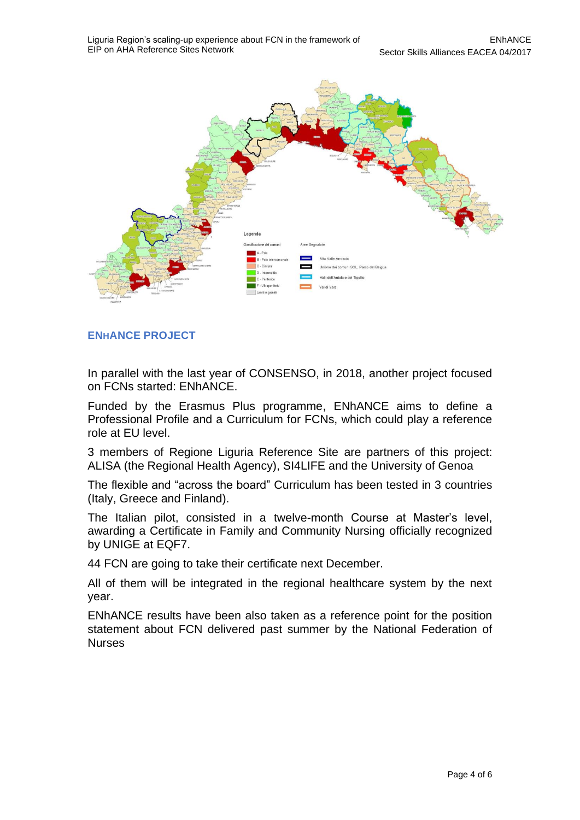

### **ENHANCE PROJECT**

In parallel with the last year of CONSENSO, in 2018, another project focused on FCNs started: ENhANCE.

Funded by the Erasmus Plus programme, ENhANCE aims to define a Professional Profile and a Curriculum for FCNs, which could play a reference role at EU level.

3 members of Regione Liguria Reference Site are partners of this project: ALISA (the Regional Health Agency), SI4LIFE and the University of Genoa

The flexible and "across the board" Curriculum has been tested in 3 countries (Italy, Greece and Finland).

The Italian pilot, consisted in a twelve-month Course at Master's level, awarding a Certificate in Family and Community Nursing officially recognized by UNIGE at EQF7.

44 FCN are going to take their certificate next December.

All of them will be integrated in the regional healthcare system by the next year.

ENhANCE results have been also taken as a reference point for the position statement about FCN delivered past summer by the National Federation of **Nurses**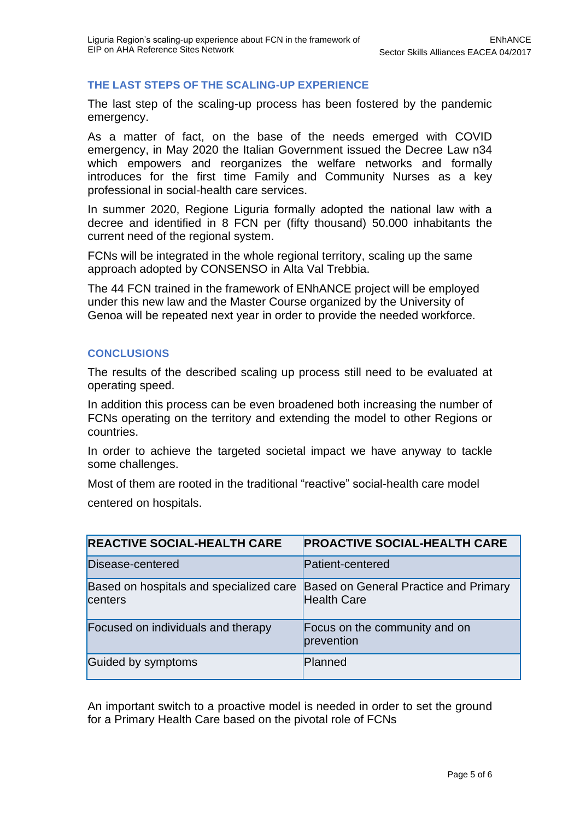#### **THE LAST STEPS OF THE SCALING-UP EXPERIENCE**

The last step of the scaling-up process has been fostered by the pandemic emergency.

As a matter of fact, on the base of the needs emerged with COVID emergency, in May 2020 the Italian Government issued the Decree Law n34 which empowers and reorganizes the welfare networks and formally introduces for the first time Family and Community Nurses as a key professional in social-health care services.

In summer 2020, Regione Liguria formally adopted the national law with a decree and identified in 8 FCN per (fifty thousand) 50.000 inhabitants the current need of the regional system.

FCNs will be integrated in the whole regional territory, scaling up the same approach adopted by CONSENSO in Alta Val Trebbia.

The 44 FCN trained in the framework of ENhANCE project will be employed under this new law and the Master Course organized by the University of Genoa will be repeated next year in order to provide the needed workforce.

#### **CONCLUSIONS**

The results of the described scaling up process still need to be evaluated at operating speed.

In addition this process can be even broadened both increasing the number of FCNs operating on the territory and extending the model to other Regions or countries.

In order to achieve the targeted societal impact we have anyway to tackle some challenges.

Most of them are rooted in the traditional "reactive" social-health care model centered on hospitals.

| <b>REACTIVE SOCIAL-HEALTH CARE</b>                 | <b>PROACTIVE SOCIAL-HEALTH CARE</b>                                |
|----------------------------------------------------|--------------------------------------------------------------------|
| Disease-centered                                   | <b>Patient-centered</b>                                            |
| Based on hospitals and specialized care<br>centers | <b>Based on General Practice and Primary</b><br><b>Health Care</b> |
| Focused on individuals and therapy                 | Focus on the community and on<br>prevention                        |
| Guided by symptoms                                 | Planned                                                            |

An important switch to a proactive model is needed in order to set the ground for a Primary Health Care based on the pivotal role of FCNs